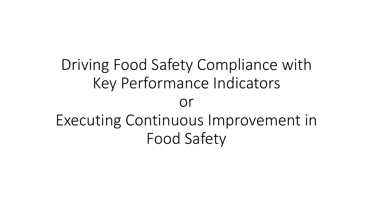## Driving Food Safety Compliance with Key Performance Indicators or Executing Continuous Improvement in Food Safety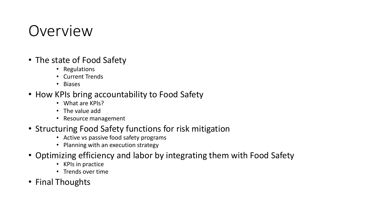#### Overview

- The state of Food Safety
	- Regulations
	- Current Trends
	- Biases
- How KPIs bring accountability to Food Safety
	- What are KPIs?
	- The value add
	- Resource management
- Structuring Food Safety functions for risk mitigation
	- Active vs passive food safety programs
	- Planning with an execution strategy
- Optimizing efficiency and labor by integrating them with Food Safety
	- KPIs in practice
	- Trends over time
- Final Thoughts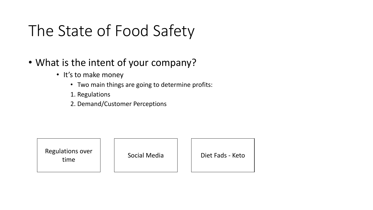# The State of Food Safety

- What is the intent of your company?
	- It's to make money
		- Two main things are going to determine profits:
		- 1. Regulations
		- 2. Demand/Customer Perceptions

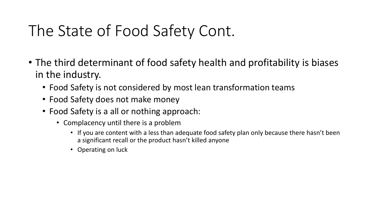## The State of Food Safety Cont.

- The third determinant of food safety health and profitability is biases in the industry.
	- Food Safety is not considered by most lean transformation teams
	- Food Safety does not make money
	- Food Safety is a all or nothing approach:
		- Complacency until there is a problem
			- If you are content with a less than adequate food safety plan only because there hasn't been a significant recall or the product hasn't killed anyone
			- Operating on luck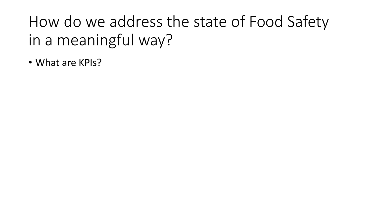How do we address the state of Food Safety in a meaningful way?

• What are KPIs?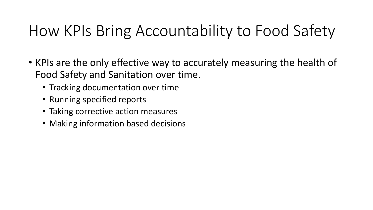## How KPIs Bring Accountability to Food Safety

- KPIs are the only effective way to accurately measuring the health of Food Safety and Sanitation over time.
	- Tracking documentation over time
	- Running specified reports
	- Taking corrective action measures
	- Making information based decisions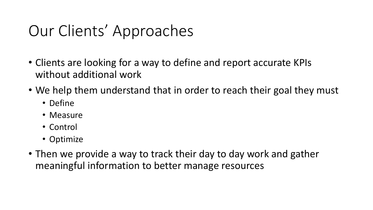## Our Clients' Approaches

- Clients are looking for a way to define and report accurate KPIs without additional work
- We help them understand that in order to reach their goal they must
	- Define
	- Measure
	- Control
	- Optimize
- Then we provide a way to track their day to day work and gather meaningful information to better manage resources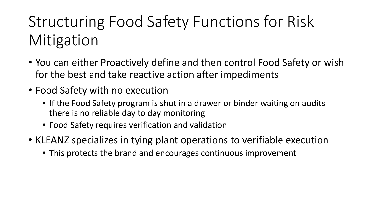# Structuring Food Safety Functions for Risk **Mitigation**

- You can either Proactively define and then control Food Safety or wish for the best and take reactive action after impediments
- Food Safety with no execution
	- If the Food Safety program is shut in a drawer or binder waiting on audits there is no reliable day to day monitoring
	- Food Safety requires verification and validation
- KLEANZ specializes in tying plant operations to verifiable execution
	- This protects the brand and encourages continuous improvement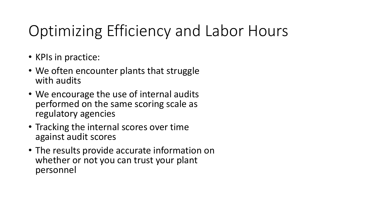# Optimizing Efficiency and Labor Hours

- KPIs in practice:
- We often encounter plants that struggle with audits
- We encourage the use of internal audits performed on the same scoring scale as regulatory agencies
- Tracking the internal scores over time against audit scores
- The results provide accurate information on whether or not you can trust your plant personnel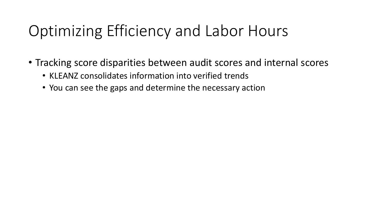## Optimizing Efficiency and Labor Hours

- Tracking score disparities between audit scores and internal scores
	- KLEANZ consolidates information into verified trends
	- You can see the gaps and determine the necessary action